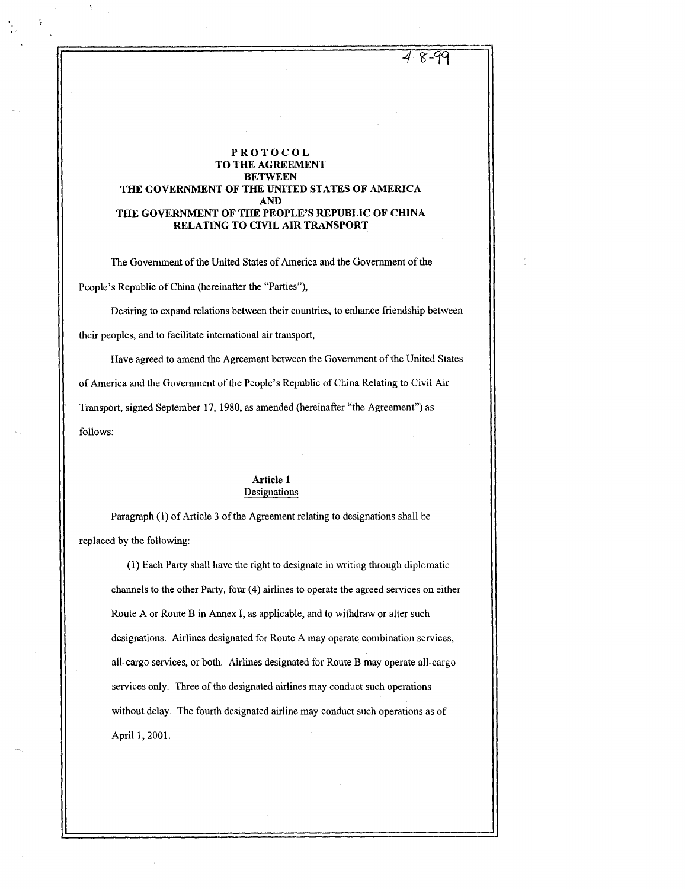$4 - 9 - 17$ 

## PROTOCOL TO THE AGREEMENT BETWEEN THE GOVERNMENT OF THE UNITED STATES OF AMERICA AND THE GOVERNMENT OF THE PEOPLE'S REPUBLIC OF CHINA RELATING TO CIVIL AIR TRANSPORT

The Government of the United States of America and the Government of the People's Republic of China (hereinafter the "Parties"),

Desiring to expand relations between their countries, to enhance friendship between their peoples, and to facilitate international air transport,

Have agreed to amend the Agreement between the Government of the United States of America and the Government of the People's Republic of China Relating to Civil Air Transport, signed September 17, 1980, as amended (hereinafter "the Agreement") as follows:

## Article 1 Designations

Paragraph (1) of Article 3 of the Agreement relating to designations shall be replaced by the following:

(1) Each Party shall have the right to designate in writing through diplomatic channels to the other Party, four (4) airlines to operate the agreed services on either Route A or Route B in Annex I, as applicable, and to withdraw or alter such designations. Airlines designated for Route A may operate combination services, all-cargo services, or both. Airlines designated for Route B may operate all-cargo services only. Three of the designated airlines may conduct such operations without delay. The fourth designated airline may conduct such operations as of April 1, 2001.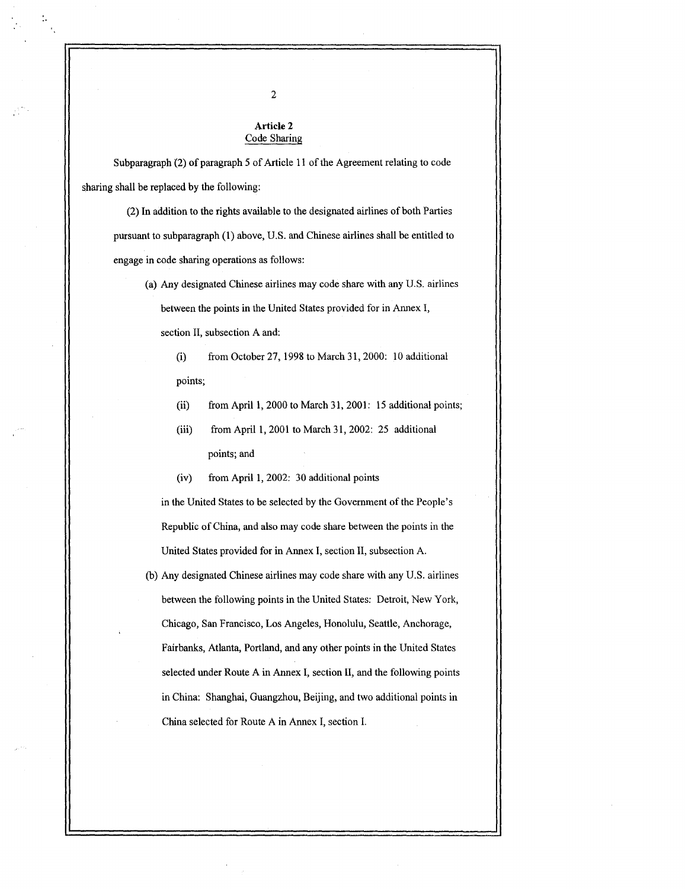## Article 2 Code Sharing

Subparagraph (2) of paragraph 5 of Article 11 of the Agreement relating to code sharing shall be replaced by the following :

(2) In addition to the rights available to the designated airlines of both Parties pursuant to subparagraph (1) above, U .S . and Chinese airlines shall be entitled to engage in code sharing operations as follows :

- (a) Any designated Chinese airlines may code share with any U .S . airlines between the points in the United States provided for in Annex I, section II, subsection A and:
	- (i) from October 27, 1998 to March 31, 2000: 10 additional points;
	- (ii) from April 1, 2000 to March 31, 2001: 15 additional points;
	- (iii) from April 1, 2001 to March 31, 2002: 25 additional points; and
	- (iv) from April 1, 2002: 30 additional points

in the United States to be selected by the Government of the People's Republic of China, and also may code share between the points in the United States provided for in Annex I, section II, subsection A .

(b) Any designated Chinese airlines may code share with any U .S . airlines between the following points in the United States: Detroit, New York, Chicago, San Francisco, Los Angeles, Honolulu, Seattle, Anchorage, Fairbanks, Atlanta, Portland, and any other points in the United States selected under Route A in Annex I, section II, and the following points in China: Shanghai, Guangzhou, Beijing, and two additional points in China selected for Route A in Annex I, section I.

2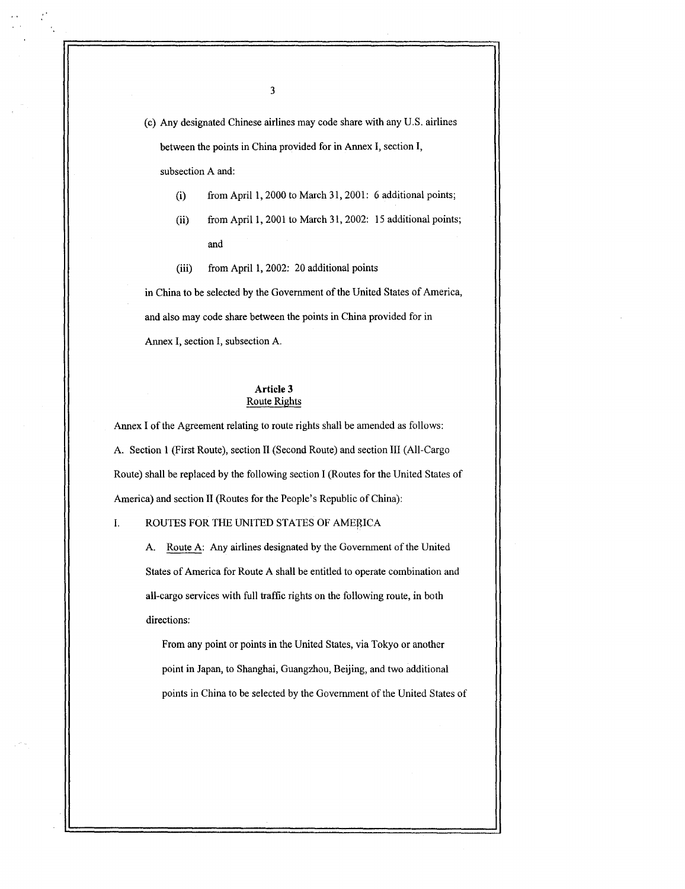(c) Any designated Chinese airlines may code share with any U .S . airlines between the points in China provided for in Annex I, section I, subsection A and:

- (i) from April 1, 2000 to March 31, 2001: 6 additional points;
- (ii) from April 1, 2001 to March 31, 2002: 15 additional points; and
- (iii) from April 1, 2002: 20 additional points

in China to be selected by the Government of the United States of America, and also may code share between the points in China provided for in Annex I, section I, subsection A.

## Article 3 Route Rights

Annex I of the Agreement relating to route rights shall be amended as follows : A. Section 1 (First Route), section II (Second Route) and section III (All-Cargo Route) shall be replaced by the following section I (Routes for the United States of America) and section II (Routes for the People's Republic of China): 3<br>
(c) Any designated Chinese airlines may code share with<br>
between the points in China provided for in Amex I<br>
subsection A and:<br>
(i) from April 1, 2000 to March 31, 2001: 6<br>
(ii) from April 1, 2001 to March 31, 2002: 1<br>

## I .

A. Route A: Any airlines designated by the Government of the United States of America for Route A shall be entitled to operate combination and all-cargo services with full traffic rights on the following route, in both directions:

From any point or points in the United States, via Tokyo or another point in Japan, to Shanghai, Guangzhou, Beijing, and two additional points in China to be selected by the Government of the United States of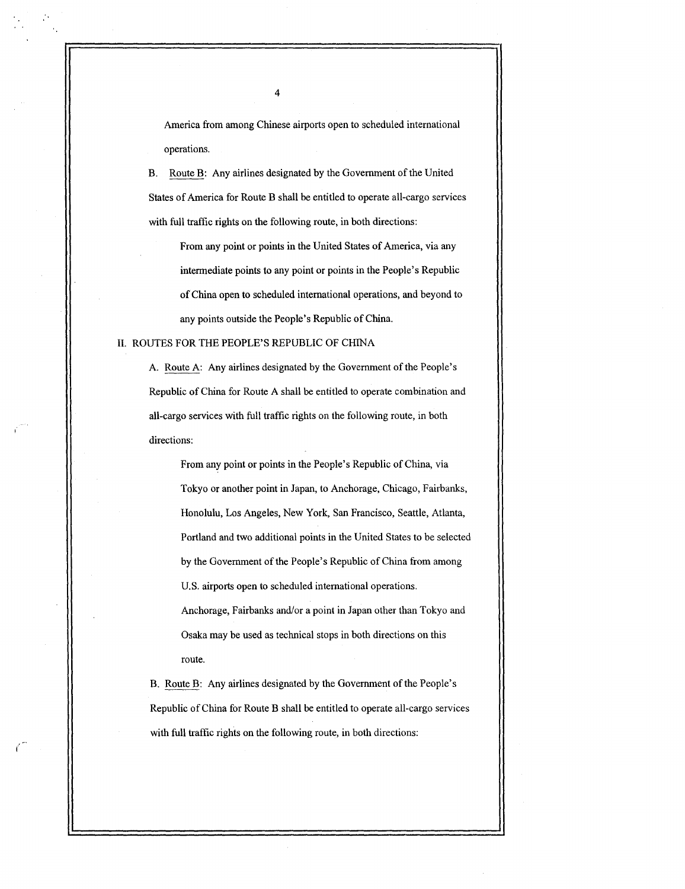America from among Chinese airports open to scheduled international operations.

B. Route B: Any airlines designated by the Government of the United States of America for Route B shall be entitled to operate all-cargo services with full traffic rights on the following route, in both directions:

From any point or points in the United States of America, via any intermediate points to any point or points in the People's Republic of China open to scheduled international operations, and beyond to any points outside the People's Republic of China.

#### II. ROUTES FOR THE PEOPLE'S REPUBLIC OF CHINA

A. Route A: Any airlines designated by the Government of the People's Republic of China for Route A shall be entitled to operate combination and all-cargo services with full traffic rights on the following route, in both directions:

From any point or points in the People's Republic of China, via Tokyo or another point in Japan, to Anchorage, Chicago, Fairbanks, Honolulu, Los Angeles, New York, San Francisco, Seattle, Atlanta, Portland and two additional points in the United States to be selected by the Government of the People's Republic of China from among U.S. airports open to scheduled international operations. Anchorage, Fairbanks and/or a point in Japan other than Tokyo and Osaka may be used as technical stops in both directions on this route.

B. Route B: Any airlines designated by the Government of the People's Republic of China for Route B shall be entitled to operate all-cargo services with full traffic rights on the following route, in both directions:

4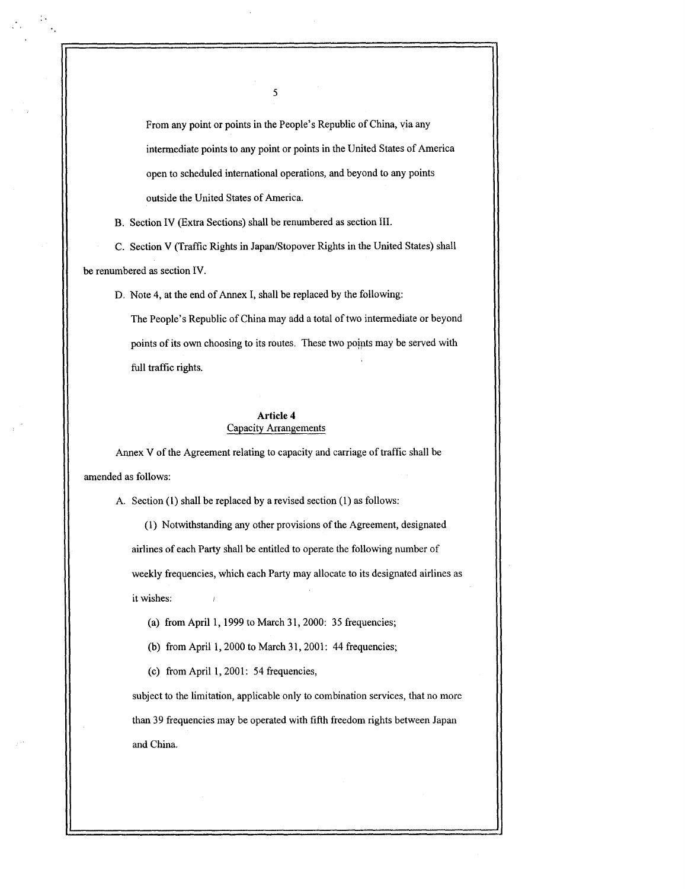From any point or points in the People's Republic of China, via any intermediate points to any point or points in the United States of America open to scheduled international operations, and beyond to any points outside the United States of America .

B. Section IV (Extra Sections) shall be renumbered as section III .

 $\ddot{\phantom{a}}$ 

C. Section V (Traffic Rights in Japan/Stopover Rights in the United States) shall be renumbered as section IV.

D. Note 4, at the end of Annex I, shall be replaced by the following:

The People's Republic of China may add a total of two intermediate or beyond points of its own choosing to its routes. These two points may be served with full traffic rights.

## Article 4 Capacity Arrangements

Annex V of the Agreement relating to capacity and carriage of traffic shall be amended as follows:

A. Section (1) shall be replaced by a revised section (1) as follows :

(1) Notwithstanding any other provisions of the Agreement, designated airlines of each Party shall be entitled to operate the following number of weekly frequencies, which each Party may allocate to its designated airlines as it wishes:

- (a) from April 1, 1999 to March 31, 2000: 35 frequencies;
- (b) from April 1, 2000 to March 31, 2001: 44 frequencies;

(c) from April 1, 2001: 54 frequencies,

subject to the limitation, applicable only to combination services, that no more than 39 frequencies may be operated with fifth freedom rights between Japan and China.

5